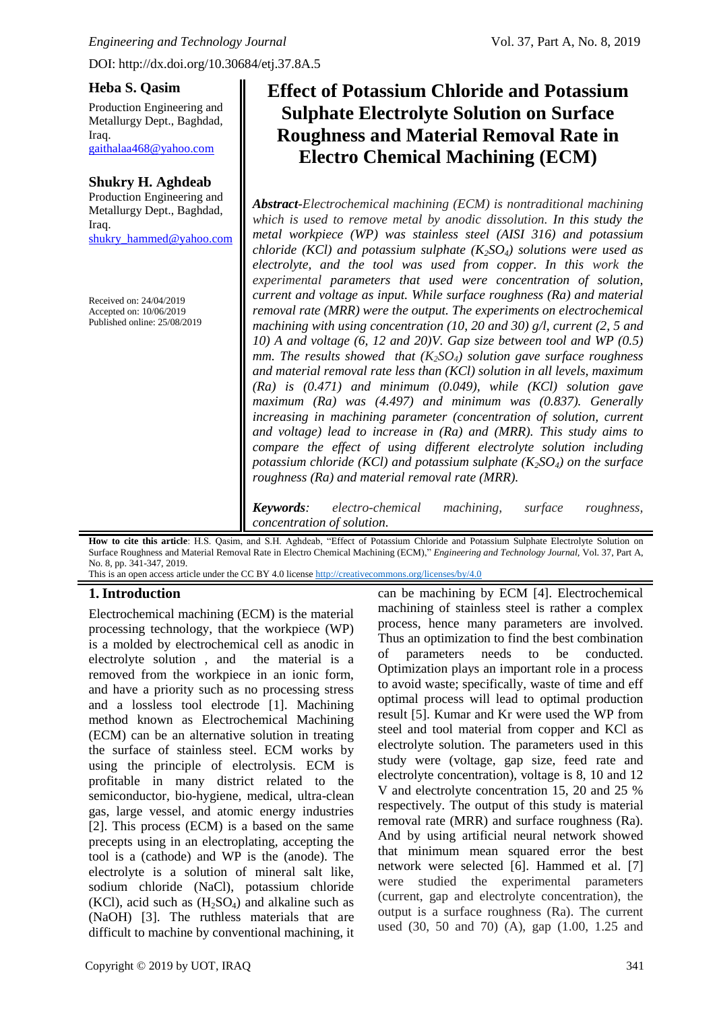#### **Heba S. Qasim**

Production Engineering and Metallurgy Dept., Baghdad, Iraq. [gaithalaa468@yahoo.com](mailto:gaithalaa468@yahoo.com)

#### **Shukry H. Aghdeab**

Production Engineering and Metallurgy Dept., Baghdad, Iraq. [shukry\\_hammed@yahoo.com](mailto:shukry_hammed@yahoo.com)

Received on: 24/04/2019 Accepted on: 10/06/2019 Published online: 25/08/2019

# **Effect of Potassium Chloride and Potassium Sulphate Electrolyte Solution on Surface Roughness and Material Removal Rate in Electro Chemical Machining (ECM)**

*Abstract-Electrochemical machining (ECM) is nontraditional machining which is used to remove metal by anodic dissolution. In this study the metal workpiece (WP) was stainless steel (AISI 316) and potassium chloride (KCl) and potassium sulphate (K2SO4) solutions were used as electrolyte, and the tool was used from copper. In this work the experimental parameters that used were concentration of solution, current and voltage as input. While surface roughness (Ra) and material removal rate (MRR) were the output. The experiments on electrochemical machining with using concentration (10, 20 and 30) g/l, current (2, 5 and 10) A and voltage (6, 12 and 20)V. Gap size between tool and WP (0.5) mm. The results showed that (K2SO4) solution gave surface roughness and material removal rate less than (KCl) solution in all levels, maximum (Ra) is (0.471) and minimum (0.049), while (KCl) solution gave maximum (Ra) was (4.497) and minimum was (0.837). Generally increasing in machining parameter (concentration of solution, current and voltage) lead to increase in (Ra) and (MRR). This study aims to compare the effect of using different electrolyte solution including potassium chloride (KCl) and potassium sulphate (K2SO4) on the surface roughness (Ra) and material removal rate (MRR).* 

*Keywords: electro-chemical machining, surface roughness, concentration of solution.*

How to cite this article: H.S. Qasim, and S.H. Aghdeab, "Effect of Potassium Chloride and Potassium Sulphate Electrolyte Solution on Surface Roughness and Material Removal Rate in Electro Chemical Machining (ECM)," *Engineering and Technology Journal,* Vol. 37, Part A, No. 8, pp. 341-347, 2019. This is an open access article under the CC BY 4.0 license<http://creativecommons.org/licenses/by/4.0>

# **1.Introduction**

Electrochemical machining (ECM) is the material processing technology, that the workpiece (WP) is a molded by electrochemical cell as anodic in electrolyte solution , and the material is a removed from the workpiece in an ionic form, and have a priority such as no processing stress and a lossless tool electrode [1]. Machining method known as Electrochemical Machining (ECM) can be an alternative solution in treating the surface of stainless steel. ECM works by using the principle of electrolysis. ECM is profitable in many district related to the semiconductor, bio-hygiene, medical, ultra-clean gas, large vessel, and atomic energy industries [2]. This process (ECM) is a based on the same precepts using in an electroplating, accepting the tool is a (cathode) and WP is the (anode). The electrolyte is a solution of mineral salt like, sodium chloride (NaCl), potassium chloride  $(KCl)$ , acid such as  $(H<sub>2</sub>SO<sub>4</sub>)$  and alkaline such as (NaOH) [3]. The ruthless materials that are difficult to machine by conventional machining, it can be machining by ECM [4]. Electrochemical machining of stainless steel is rather a complex process, hence many parameters are involved. Thus an optimization to find the best combination of parameters needs to be conducted. Optimization plays an important role in a process to avoid waste; specifically, waste of time and eff optimal process will lead to optimal production result [5]. Kumar and Kr were used the WP from steel and tool material from copper and KCl as electrolyte solution. The parameters used in this study were (voltage, gap size, feed rate and electrolyte concentration), voltage is 8, 10 and 12 V and electrolyte concentration 15, 20 and 25 % respectively. The output of this study is material removal rate (MRR) and surface roughness (Ra). And by using artificial neural network showed that minimum mean squared error the best network were selected [6]. Hammed et al. [7] were studied the experimental parameters (current, gap and electrolyte concentration), the output is a surface roughness (Ra). The current used (30, 50 and 70) (A), gap (1.00, 1.25 and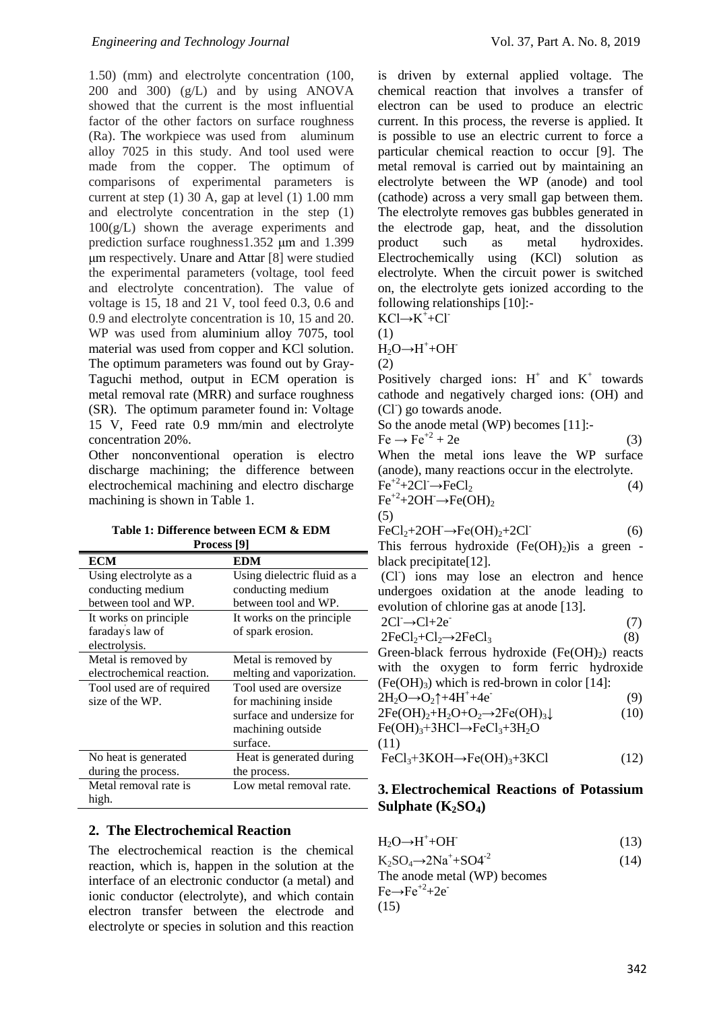1.50) (mm) and electrolyte concentration (100, 200 and 300) (g/L) and by using ANOVA showed that the current is the most influential factor of the other factors on surface roughness (Ra). The workpiece was used from aluminum alloy 7025 in this study. And tool used were made from the copper. The optimum of comparisons of experimental parameters is current at step (1) 30 A, gap at level (1) 1.00 mm and electrolyte concentration in the step (1)  $100(g/L)$  shown the average experiments and prediction surface roughness1.352 μm and 1.399 μm respectively. Unare and Attar [8] were studied the experimental parameters (voltage, tool feed and electrolyte concentration). The value of voltage is 15, 18 and 21 V, tool feed 0.3, 0.6 and 0.9 and electrolyte concentration is 10, 15 and 20. WP was used from aluminium alloy 7075, tool material was used from copper and KCl solution. The optimum parameters was found out by Gray-Taguchi method, output in ECM operation is metal removal rate (MRR) and surface roughness (SR). The optimum parameter found in: Voltage 15 V, Feed rate 0.9 mm/min and electrolyte concentration 20%.

Other nonconventional operation is electro discharge machining; the difference between electrochemical machining and electro discharge machining is shown in Table 1.

**Table 1: Difference between ECM & EDM Process [9]**

| <b>ECM</b>                | <b>EDM</b>                  |
|---------------------------|-----------------------------|
| Using electrolyte as a    | Using dielectric fluid as a |
| conducting medium         | conducting medium           |
| between tool and WP.      | between tool and WP.        |
| It works on principle     | It works on the principle   |
| faraday's law of          | of spark erosion.           |
| electrolysis.             |                             |
| Metal is removed by       | Metal is removed by         |
| electrochemical reaction. | melting and vaporization.   |
| Tool used are of required | Tool used are oversize      |
| size of the WP.           | for machining inside        |
|                           | surface and undersize for   |
|                           | machining outside           |
|                           | surface.                    |
| No heat is generated      | Heat is generated during    |
| during the process.       | the process.                |
| Metal removal rate is     | Low metal removal rate.     |
| high.                     |                             |

## **2. The Electrochemical Reaction**

The electrochemical reaction is the chemical reaction, which is, happen in the solution at the interface of an electronic conductor (a metal) and ionic conductor (electrolyte), and which contain electron transfer between the electrode and electrolyte or species in solution and this reaction is driven by external applied voltage. The chemical reaction that involves a transfer of electron can be used to produce an electric current. In this process, the reverse is applied. It is possible to use an electric current to force a particular chemical reaction to occur [9]. The metal removal is carried out by maintaining an electrolyte between the WP (anode) and tool (cathode) across a very small gap between them. The electrolyte removes gas bubbles generated in the electrode gap, heat, and the dissolution product such as metal hydroxides. Electrochemically using (KCl) solution as electrolyte. When the circuit power is switched on, the electrolyte gets ionized according to the following relationships [10]:-

$$
KCl \rightarrow K^{+} + Cl^{-}
$$
  
(1)

 $H_2O \rightarrow H^+ + OH^-$ 

(2)

Positively charged ions:  $H^+$  and  $K^+$  towards cathode and negatively charged ions: (OH) and (Cl<sup>-</sup>) go towards anode.

So the anode metal (WP) becomes [11]:-

$$
Fe \rightarrow Fe^{+2} + 2e
$$
 (3)  
When the metal ions leave the WP surface

(anode), many reactions occur in the electrolyte.  $Fe^{+2}+2Cl^-\rightarrow FeCl_2$  (4)

$$
\text{Fe}^{+2} + 2\text{OH} \rightarrow \text{Fe}(\text{OH})_2
$$

(5)

$$
\text{FeCl}_2 + 2\text{OH} \rightarrow \text{Fe(OH)}_2 + 2\text{Cl}^{\cdot} \tag{6}
$$

This ferrous hydroxide  $(Fe(OH)_2)$ is a green black precipitate[12].

(Cl- ) ions may lose an electron and hence undergoes oxidation at the anode leading to evolution of chlorine gas at anode [13].

$$
2CI \rightarrow CI + 2e^{-}
$$
  
\n
$$
2FeCl2+Cl2\rightarrow 2FeCl3
$$
\n(7)

Green-black ferrous hydroxide  $(Fe(OH<sub>2</sub>)$  reacts with the oxygen to form ferric hydroxide  $(Fe(OH)<sub>3</sub>)$  which is red-brown in color [14]:

$$
2H_2O \rightarrow O_2\uparrow + 4H^+ + 4e^-
$$
 (9)

$$
2Fe(OH)2+H2O+O2\rightarrow 2Fe(OH)3\downarrow
$$
\n
$$
Fe(OH)3+3HCl\rightarrow FeCl3+3H2O
$$
\n
$$
(11)
$$
\n
$$
FeCl+2KOH+E2(OH)+2KG!
$$
\n
$$
(12)
$$

$$
FeCl3+3KOH \rightarrow Fe(OH)3+3KCl
$$
 (12)

## **3. Electrochemical Reactions of Potassium Sulphate (K2SO4)**

| $H_2O \rightarrow H^+ + OH^-$ | (13) |
|-------------------------------|------|
|                               |      |

 $K_2SO_4 \rightarrow 2Na^+ + SO4^{-2}$  (14) The anode metal (WP) becomes  $Fe \rightarrow Fe^{+2}+2e^-$ (15)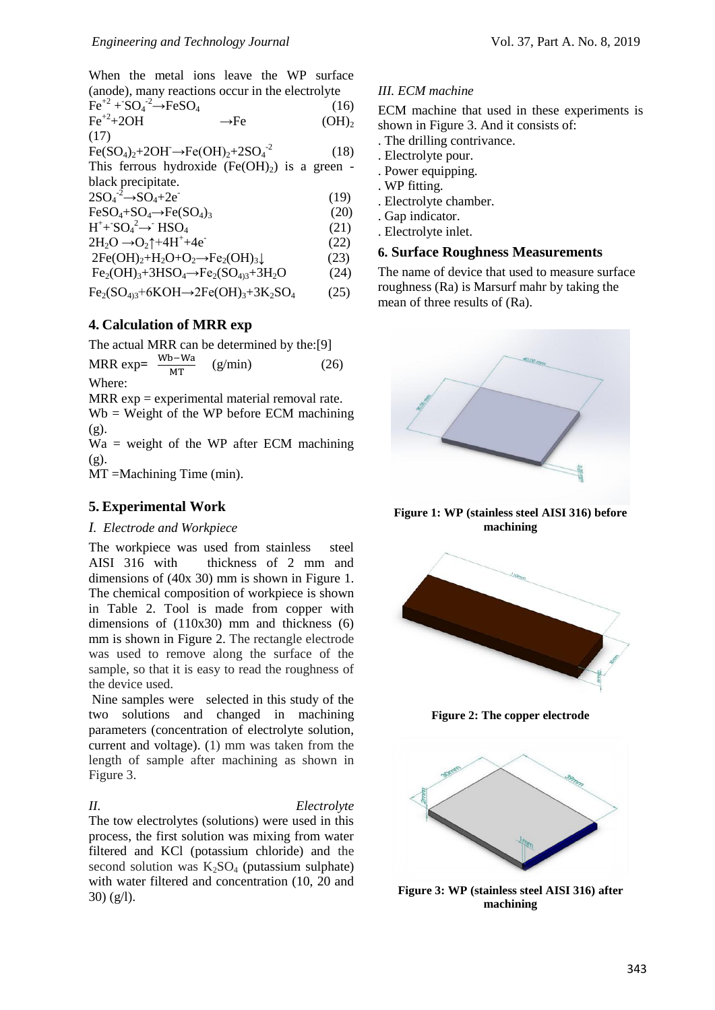When the metal ions leave the WP surface (anode), many reactions occur in the electrolyte<br> $E_0^{+2}$  (16)

$$
\begin{array}{ll}\n\text{Fe}^{+2} + \text{SO}_4 \xrightarrow{2} - \text{FeSO}_4 & (16) \\
\text{Fe}^{+2} + 2\text{OH} & \longrightarrow \text{Fe} & (OH)_2 \\
(17)\n\end{array}
$$

 $Fe(SO_4)_2 + 2OH \rightarrow Fe(OH)_2 + 2SO_4^{-2}$ (18)

This ferrous hydroxide  $(Fe(OH<sub>2</sub>)$  is a green black precipitate.

 $2SO_4^{-2} \rightarrow SO_4 + 2e^-$ (19)

 $FeSO_4+SO_4 \rightarrow Fe(SO_4)_3$  (20)

 $H^+$ + SO<sub>4</sub><sup>2</sup> → HSO<sub>4</sub> (21)

$$
2H_2O \rightarrow O_2\uparrow + 4H^+ + 4e^-
$$
\n
$$
2Fe(OH)_2 + H_2O + O_2 \rightarrow Fe_2(OH)_3\downarrow
$$
\n
$$
(23)
$$

$$
2Fe(OH)2+H2O+O2\rightarrow Fe2(OH)3\downarrow
$$
 (23)  
Fe<sub>2</sub>(OH)<sub>2</sub>+3HSO<sub>4</sub>\rightarrow Fe<sub>2</sub>(SO<sub>22</sub>+3H<sub>2</sub>O (24)

$$
Fe2(OH)3+5HSO4 \rightarrow Fe2(SO4)3+5H2O
$$
 (24)  
Fe<sub>2</sub>(SO<sub>4</sub>)<sub>3</sub>+6KOH \rightarrow 2Fe(OH)<sub>3</sub>+3K<sub>2</sub>SO<sub>4</sub> (25)

$$
\Gamma \mathbf{c}_2(\mathbf{S}\mathbf{U}_{4})\mathbf{C}^{\mathrm{T}}\mathbf{U}\mathbf{N}\mathbf{U}\mathbf{\Pi}\mathbf{C}^{\mathrm{T}}\mathbf{C}(\mathbf{U}\mathbf{\Pi})\mathbf{C}^{\mathrm{T}}\mathbf{C}\mathbf{N}\mathbf{C}^{\mathrm{T}}\mathbf{D}\mathbf{N}\mathbf{C}^{\mathrm{T}}\mathbf{D}\mathbf{N}\mathbf{C}^{\mathrm{T}}\mathbf{D}\mathbf{N}\mathbf{C}^{\mathrm{T}}\mathbf{D}\mathbf{N}\mathbf{C}^{\mathrm{T}}\mathbf{D}\mathbf{N}\mathbf{C}^{\mathrm{T}}\mathbf{D}\mathbf{N}\mathbf{C}^{\mathrm{T}}\mathbf{D}\mathbf{N}\mathbf{C}^{\mathrm{T}}\mathbf{D}\mathbf{N}\mathbf{C}^{\mathrm{T}}\mathbf{D}\mathbf{N}\mathbf{C}^{\mathrm{T}}\mathbf{D}\mathbf{N}\mathbf{C}^{\mathrm{T}}\mathbf{D}\mathbf{N}\mathbf{C}^{\mathrm{T}}\mathbf{D}\mathbf{N}\mathbf{C}^{\mathrm{T}}\mathbf{D}\mathbf{N}\mathbf{C}^{\mathrm{T}}\mathbf{D}\mathbf{N}\mathbf{C}^{\mathrm{T}}\mathbf{D}\mathbf{N}\mathbf{C}^{\mathrm{T}}\mathbf{D}\mathbf{N}\mathbf{C}^{\mathrm{T}}\mathbf{D}\mathbf{N}\mathbf{C}^{\mathrm{T}}\mathbf{D}\mathbf{N}\mathbf{C}^{\mathrm{T}}\mathbf{D}\mathbf{N}\mathbf{C}^{\mathrm{T}}\mathbf{D}\mathbf{N}\mathbf{C}^{\mathrm{T}}\mathbf{D}\mathbf{N}\mathbf{C}^{\mathrm{T}}\mathbf{D}\mathbf{N}\mathbf{C}^{\mathrm{T}}\mathbf{D}\mathbf{N}\mathbf{C}^{\mathrm{T}}\mathbf{D}\mathbf{N}\mathbf{C}^{\mathrm{T}}\mathbf{D}\mathbf{N}\mathbf{C}^{\mathrm{T}}\mathbf{D}\mathbf{N}\mathbf{C}^{\mathrm{T}}\mathbf{D}\mathbf{N}\mathbf{C}^{\mathrm{T}}\mathbf{D}\mathbf{N}\mathbf{C}^{\mathrm{T}}\mathbf{D}\mathbf{N}\mathbf{C}^{\mathrm{T}}\mathbf{D}\mathbf{N}\mathbf{C}^{\mathrm{T}}\mathbf{D}\mathbf{N}\mathbf{C}^
$$

## **4. Calculation of MRR exp**

The actual MRR can be determined by the:[9]

MRR exp=  $\frac{W}{A}$ M  $(g/min)$  (26)

Where:

 $MRR \exp =$  experimental material removal rate.

 $Wb = Weight of the WP before ECM matching$ (g).

 $Wa = weight of the WP after ECM matching$ (g).

MT =Machining Time (min).

## **5. Experimental Work**

## *I. Electrode and Workpiece*

The workpiece was used from stainless steel AISI 316 with thickness of 2 mm and dimensions of (40x 30) mm is shown in Figure 1. The chemical composition of workpiece is shown in Table 2. Tool is made from copper with dimensions of (110x30) mm and thickness (6) mm is shown in Figure 2. The rectangle electrode was used to remove along the surface of the sample, so that it is easy to read the roughness of the device used.

Nine samples were selected in this study of the two solutions and changed in machining parameters (concentration of electrolyte solution, current and voltage). (1) mm was taken from the length of sample after machining as shown in Figure 3.

*II. Electrolyte* The tow electrolytes (solutions) were used in this process, the first solution was mixing from water filtered and KCl (potassium chloride) and the second solution was  $K_2SO_4$  (putassium sulphate) with water filtered and concentration (10, 20 and 30) (g/l).

## *III. ECM machine*

ECM machine that used in these experiments is shown in Figure 3. And it consists of:

- . The drilling contrivance.
- . Electrolyte pour.
- . Power equipping.
- . WP fitting.
- . Electrolyte chamber.
- . Gap indicator.
- . Electrolyte inlet.

## **6. Surface Roughness Measurements**

The name of device that used to measure surface roughness (Ra) is Marsurf mahr by taking the mean of three results of (Ra).



**Figure 1: WP (stainless steel AISI 316) before machining**



**Figure 2: The copper electrode**



**Figure 3: WP (stainless steel AISI 316) after machining**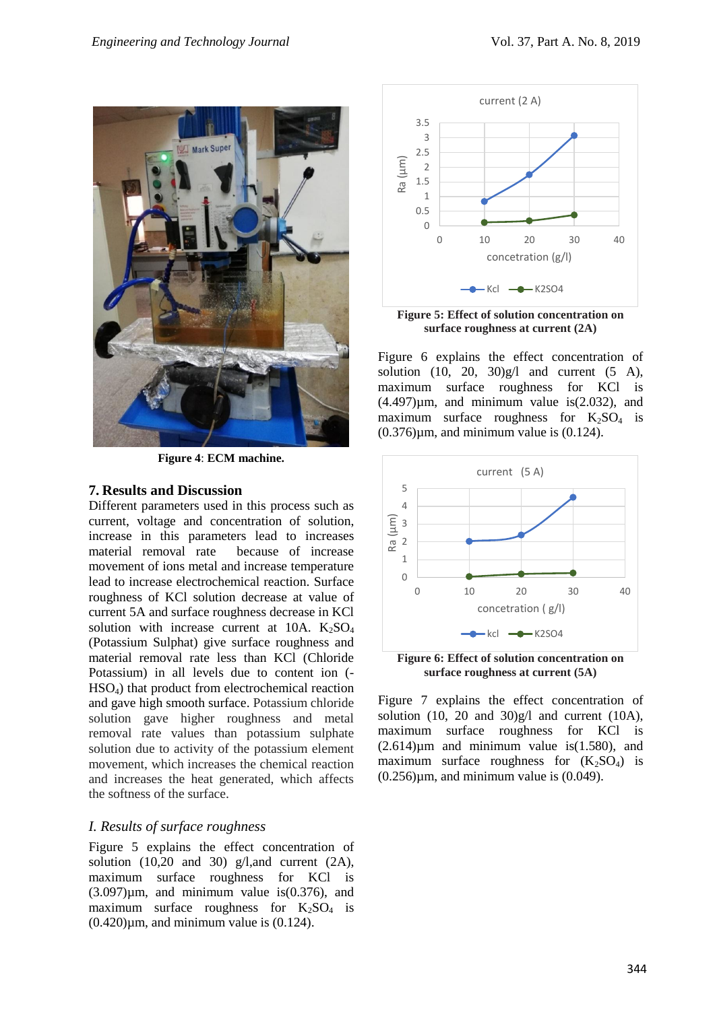

**Figure 4**: **ECM machine.**

#### **7. Results and Discussion**

Different parameters used in this process such as current, voltage and concentration of solution, increase in this parameters lead to increases material removal rate because of increase movement of ions metal and increase temperature lead to increase electrochemical reaction. Surface roughness of KCl solution decrease at value of current 5A and surface roughness decrease in KCl solution with increase current at  $10A$ .  $K_2SO_4$ (Potassium Sulphat) give surface roughness and material removal rate less than KCl (Chloride Potassium) in all levels due to content ion (- HSO4) that product from electrochemical reaction and gave high smooth surface. Potassium chloride solution gave higher roughness and metal removal rate values than potassium sulphate solution due to activity of the potassium element movement, which increases the chemical reaction and increases the heat generated, which affects the softness of the surface.

#### *I. Results of surface roughness*

Figure 5 explains the effect concentration of solution  $(10,20 \text{ and } 30)$  g/l, and current  $(2A)$ , maximum surface roughness for KCl is  $(3.097)\mu$ m, and minimum value is $(0.376)$ , and maximum surface roughness for  $K_2SO_4$  is  $(0.420)\mu$ m, and minimum value is  $(0.124)$ .



**surface roughness at current (2A)**

Figure 6 explains the effect concentration of solution  $(10, 20, 30)g/l$  and current  $(5 A)$ , maximum surface roughness for KCl is  $(4.497)\mu m$ , and minimum value is $(2.032)$ , and maximum surface roughness for  $K_2SO_4$  is  $(0.376)$ µm, and minimum value is  $(0.124)$ .



**Figure 6: Effect of solution concentration on surface roughness at current (5A)**

Figure 7 explains the effect concentration of solution  $(10, 20$  and  $30)g/l$  and current  $(10A)$ , maximum surface roughness for KCl is  $(2.614)\mu m$  and minimum value is $(1.580)$ , and maximum surface roughness for  $(K_2SO_4)$  is  $(0.256)$ µm, and minimum value is  $(0.049)$ .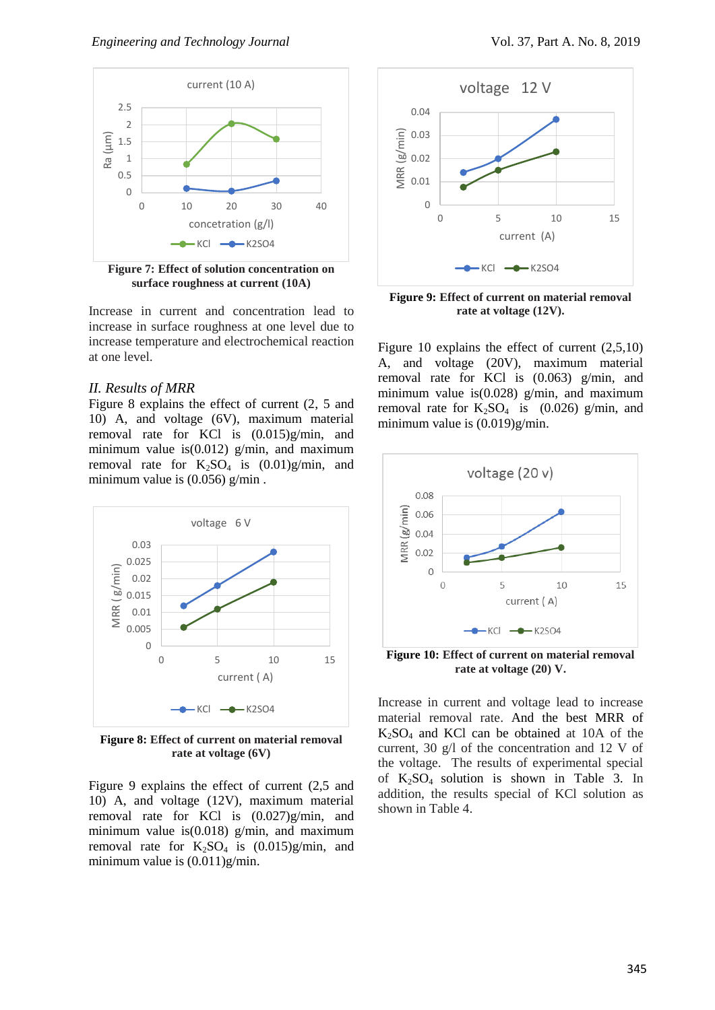

**Figure 7: Effect of solution concentration on surface roughness at current (10A)**

Increase in current and concentration lead to increase in surface roughness at one level due to increase temperature and electrochemical reaction at one level.

#### *II. Results of MRR*

Figure 8 explains the effect of current (2, 5 and 10) A, and voltage (6V), maximum material removal rate for KCl is (0.015)g/min, and minimum value is  $(0.012)$  g/min, and maximum removal rate for  $K_2SO_4$  is  $(0.01)g/min$ , and minimum value is (0.056) g/min .



**Figure 8: Effect of current on material removal rate at voltage (6V)**

Figure 9 explains the effect of current (2,5 and 10) A, and voltage (12V), maximum material removal rate for KCl is (0.027)g/min, and minimum value is $(0.018)$  g/min, and maximum removal rate for  $K_2SO_4$  is  $(0.015)g/min$ , and minimum value is (0.011)g/min.



**Figure 9: Effect of current on material removal rate at voltage (12V).**

Figure 10 explains the effect of current (2,5,10) A, and voltage (20V), maximum material removal rate for KCl is (0.063) g/min, and minimum value is $(0.028)$  g/min, and maximum removal rate for  $K_2SO_4$  is (0.026) g/min, and minimum value is (0.019)g/min.



**Figure 10: Effect of current on material removal rate at voltage (20) V.**

Increase in current and voltage lead to increase material removal rate. And the best MRR of  $K<sub>2</sub>SO<sub>4</sub>$  and KCl can be obtained at 10A of the current, 30 g/l of the concentration and 12 V of the voltage. The results of experimental special of  $K_2SO_4$  solution is shown in Table 3. In addition, the results special of KCl solution as shown in Table 4.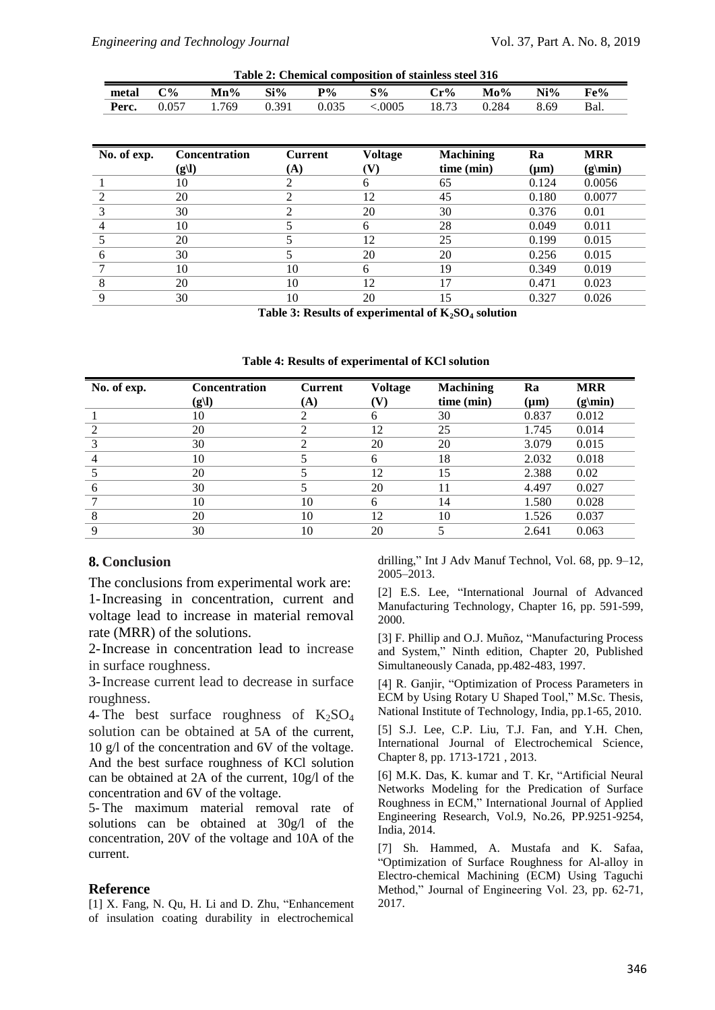| Table 2: Chemical composition of stainless steel 316 |                  |      |       |       |        |        |        |        |     |
|------------------------------------------------------|------------------|------|-------|-------|--------|--------|--------|--------|-----|
| metal                                                | $\mathcal{O}'_0$ | Mn%  | Si%   | $P\%$ | S%     | $Cr\%$ | $Mo\%$ | $Ni\%$ | Fe% |
| Perc.                                                | 0.057            | .769 | 0.391 | 0.035 | 0.0005 | 18.73  | 0.284  | 8.69   | Bal |

| No. of exp. | <b>Concentration</b><br>(g l) | <b>Current</b><br>(A) | <b>Voltage</b><br>V) | <b>Machining</b><br>time (min) | Ra<br>$(\mu m)$ | <b>MRR</b><br>$(g\mid min)$ |
|-------------|-------------------------------|-----------------------|----------------------|--------------------------------|-----------------|-----------------------------|
|             | 10                            | 2                     | h.                   | 65                             | 0.124           | 0.0056                      |
|             | 20                            | ി                     | 12                   | 45                             | 0.180           | 0.0077                      |
|             | 30                            |                       | 20                   | 30                             | 0.376           | 0.01                        |
|             | 10                            |                       | 6                    | 28                             | 0.049           | 0.011                       |
|             | 20                            |                       | 12                   | 25                             | 0.199           | 0.015                       |
|             | 30                            |                       | 20                   | 20                             | 0.256           | 0.015                       |
|             | 10                            | 10                    | 6                    | 19                             | 0.349           | 0.019                       |
|             | 20                            | 10                    | 12                   | 17                             | 0.471           | 0.023                       |
|             | 30                            | 10                    | 20                   | 15                             | 0.327           | 0.026                       |

**Table 3: Results of experimental of K2SO<sup>4</sup> solution**

| Table 4: Results of experimental of KCl solution |  |  |
|--------------------------------------------------|--|--|
|--------------------------------------------------|--|--|

| No. of exp. | Concentration | <b>Current</b> | <b>Voltage</b> | <b>Machining</b> | Ra        | <b>MRR</b>    |
|-------------|---------------|----------------|----------------|------------------|-----------|---------------|
|             | (g l)         | (A)            | V)             | time (min)       | $(\mu m)$ | $(g\mid min)$ |
|             | 10            |                | 6              | 30               | 0.837     | 0.012         |
|             | 20            |                | 12             | 25               | 1.745     | 0.014         |
|             | 30            | ◠              | 20             | 20               | 3.079     | 0.015         |
|             | 10            |                | 6              | 18               | 2.032     | 0.018         |
|             | 20            |                | 12             | 15               | 2.388     | 0.02          |
| O           | 30            |                | 20             | 11               | 4.497     | 0.027         |
|             | 10            | 10             | 6              | 14               | 1.580     | 0.028         |
| 8           | 20            | 10             | 12             | 10               | 1.526     | 0.037         |
| $\Omega$    | 30            | 10             | 20             |                  | 2.641     | 0.063         |

#### **8. Conclusion**

The conclusions from experimental work are: 1-Increasing in concentration, current and voltage lead to increase in material removal rate (MRR) of the solutions.

2-Increase in concentration lead to increase in surface roughness.

3-Increase current lead to decrease in surface roughness.

4- The best surface roughness of  $K_2SO_4$ solution can be obtained at 5A of the current, 10 g/l of the concentration and 6V of the voltage. And the best surface roughness of KCl solution can be obtained at 2A of the current, 10g/l of the concentration and 6V of the voltage.

5- The maximum material removal rate of solutions can be obtained at 30g/l of the concentration, 20V of the voltage and 10A of the current.

#### **Reference**

[1] X. Fang, N. Qu, H. Li and D. Zhu, "Enhancement of insulation coating durability in electrochemical drilling," Int J Adv Manuf Technol, Vol. 68, pp. 9–12, 2005–2013.

[2] E.S. Lee, "International Journal of Advanced Manufacturing Technology, Chapter 16, pp. 591-599, 2000.

[3] F. Phillip and O.J. Muñoz, "Manufacturing Process and System," Ninth edition, Chapter 20, Published Simultaneously Canada, pp.482-483, 1997.

[4] R. Ganjir, "Optimization of Process Parameters in ECM by Using Rotary U Shaped Tool," M.Sc. Thesis, National Institute of Technology, India, pp.1-65, 2010.

[5] S.J. Lee, C.P. Liu, T.J. Fan, and Y.H. Chen, International Journal of Electrochemical Science, Chapter 8, pp. 1713-1721 , 2013.

[6] M.K. Das, K. kumar and T. Kr, "Artificial Neural Networks Modeling for the Predication of Surface Roughness in ECM," International Journal of Applied Engineering Research, Vol.9, No.26, PP.9251-9254, India, 2014.

[7] Sh. Hammed, A. Mustafa and K. Safaa, "Optimization of Surface Roughness for Al-alloy in Electro-chemical Machining (ECM) Using Taguchi Method," Journal of Engineering Vol. 23, pp. 62-71, 2017.